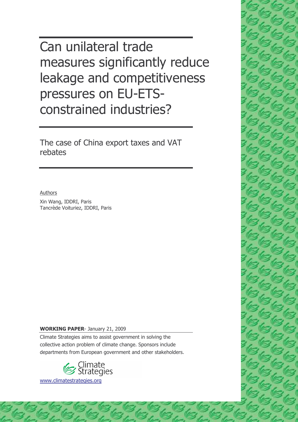Can unilateral trade measures significantly reduce leakage and competitiveness pressures on EU-ETSconstrained industries?

The case of China export taxes and VAT rebates

Authors

Xin Wang, IDDRI, Paris Tancrède Voituriez, IDDRI, Paris

#### **WORKING PAPER-January 21, 2009**

Climate Strategies aims to assist government in solving the collective action problem of climate change. Sponsors include departments from European government and other stakeholders.



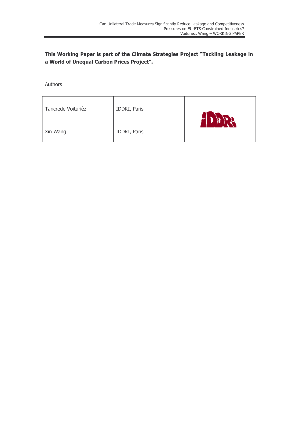This Working Paper is part of the Climate Strategies Project "Tackling Leakage in a World of Unequal Carbon Prices Project".

Authors

| Tancrede Voiturièz | IDDRI, Paris |     |
|--------------------|--------------|-----|
| Xin Wang           | IDDRI, Paris | 17. |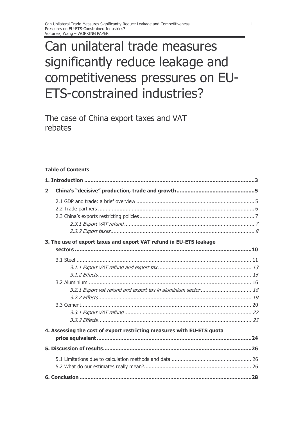## Can unilateral trade measures significantly reduce leakage and competitiveness pressures on EU-**ETS-constrained industries?**

The case of China export taxes and VAT rebates

#### **Table of Contents**

| $\overline{2}$ |                                                                        |  |
|----------------|------------------------------------------------------------------------|--|
|                |                                                                        |  |
|                |                                                                        |  |
|                |                                                                        |  |
|                |                                                                        |  |
|                |                                                                        |  |
|                | 3. The use of export taxes and export VAT refund in EU-ETS leakage     |  |
|                |                                                                        |  |
|                |                                                                        |  |
|                |                                                                        |  |
|                |                                                                        |  |
|                |                                                                        |  |
|                | 3.2.1 Export vat refund and export tax in aluminium sector  18         |  |
|                |                                                                        |  |
|                |                                                                        |  |
|                |                                                                        |  |
|                |                                                                        |  |
|                | 4. Assessing the cost of export restricting measures with EU-ETS quota |  |
|                |                                                                        |  |
|                |                                                                        |  |
|                |                                                                        |  |
|                |                                                                        |  |
|                |                                                                        |  |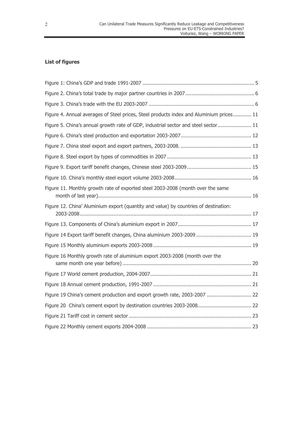### **List of figures**

| Figure 4. Annual averages of Steel prices, Steel products index and Aluminium prices 11 |
|-----------------------------------------------------------------------------------------|
| Figure 5. China's annual growth rate of GDP, industrial sector and steel sector 11      |
|                                                                                         |
|                                                                                         |
|                                                                                         |
|                                                                                         |
|                                                                                         |
| Figure 11. Monthly growth rate of exported steel 2003-2008 (month over the same         |
| Figure 12. China' Aluminium export (quantity and value) by countries of destination:    |
|                                                                                         |
| Figure 14 Export tariff benefit changes, China aluminium 2003-2009  19                  |
|                                                                                         |
| Figure 16 Monthly growth rate of aluminium export 2003-2008 (month over the             |
|                                                                                         |
|                                                                                         |
| Figure 19 China's cement production and export growth rate, 2003-2007  22               |
| Figure 20 China's cement export by destination countries 2003-2008 22                   |
|                                                                                         |
|                                                                                         |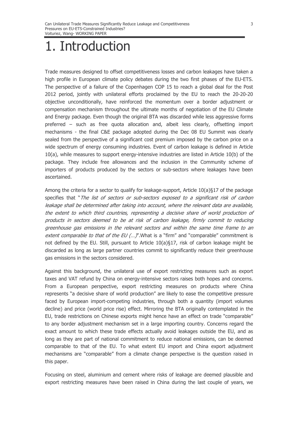## 1. Introduction

Trade measures designed to offset competitiveness losses and carbon leakages have taken a high profile in European climate policy debates during the two first phases of the EU-ETS. The perspective of a failure of the Copenhagen COP 15 to reach a global deal for the Post 2012 period, jointly with unilateral efforts proclaimed by the EU to reach the 20-20-20 objective unconditionally, have reinforced the momentum over a border adjustment or compensation mechanism throughout the ultimate months of negotiation of the EU Climate and Energy package. Even though the original BTA was discarded while less aggressive forms preferred - such as free quota allocation and, albeit less clearly, offsetting import mechanisms - the final C&E package adopted during the Dec 08 EU Summit was clearly sealed from the perspective of a significant cost premium imposed by the carbon price on a wide spectrum of energy consuming industries. Event of carbon leakage is defined in Article  $10(a)$ , while measures to support energy-intensive industries are listed in Article  $10(b)$  of the package. They include free allowances and the inclusion in the Community scheme of importers of products produced by the sectors or sub-sectors where leakages have been ascertained.

Among the criteria for a sector to qualify for leakage-support, Article 10(a)§17 of the package specifies that "The list of sectors or sub-sectors exposed to a significant risk of carbon leakage shall be determined after taking into account, where the relevant data are available, the extent to which third countries, representing a decisive share of world production of products in sectors deemed to be at risk of carbon leakage, firmly commit to reducing greenhouse gas emissions in the relevant sectors and within the same time frame to an extent comparable to that of the EU (...)". What is a "firm" and "comparable" commitment is not defined by the EU. Still, pursuant to Article 10(a)§17, risk of carbon leakage might be discarded as long as large partner countries commit to significantly reduce their greenhouse gas emissions in the sectors considered.

Against this background, the unilateral use of export restricting measures such as export taxes and VAT refund by China on energy-intensive sectors raises both hopes and concerns. From a European perspective, export restricting measures on products where China represents "a decisive share of world production" are likely to ease the competitive pressure faced by European import-competing industries, through both a quantity (import volumes decline) and price (world price rise) effect. Mirroring the BTA originally contemplated in the EU, trade restrictions on Chinese exports might hence have an effect on trade "comparable" to any border adjustment mechanism set in a large importing country. Concerns regard the exact amount to which these trade effects actually avoid leakages outside the EU, and as long as they are part of national commitment to reduce national emissions, can be deemed comparable to that of the EU. To what extent EU import and China export adjustment mechanisms are "comparable" from a climate change perspective is the question raised in this paper.

Focusing on steel, aluminium and cement where risks of leakage are deemed plausible and export restricting measures have been raised in China during the last couple of years, we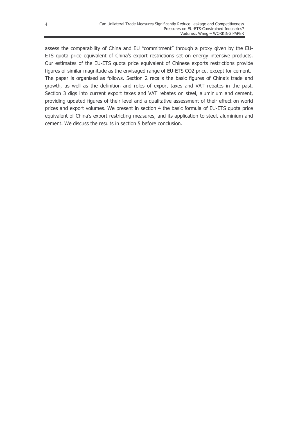assess the comparability of China and EU "commitment" through a proxy given by the EU-ETS quota price equivalent of China's export restrictions set on energy intensive products. Our estimates of the EU-ETS quota price equivalent of Chinese exports restrictions provide figures of similar magnitude as the envisaged range of EU-ETS CO2 price, except for cement. The paper is organised as follows. Section 2 recalls the basic figures of China's trade and growth, as well as the definition and roles of export taxes and VAT rebates in the past. Section 3 digs into current export taxes and VAT rebates on steel, aluminium and cement, providing updated figures of their level and a qualitative assessment of their effect on world prices and export volumes. We present in section 4 the basic formula of EU-ETS quota price equivalent of China's export restricting measures, and its application to steel, aluminium and cement. We discuss the results in section 5 before conclusion.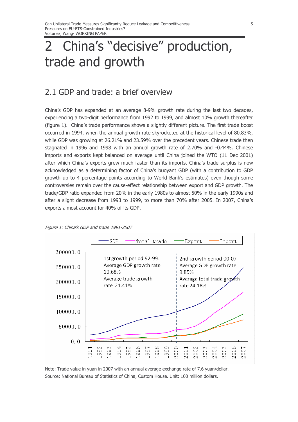## China's "decisive" production,  $\mathcal{P}$ trade and growth

### 2.1 GDP and trade: a brief overview

China's GDP has expanded at an average 8-9% growth rate during the last two decades, experiencing a two-digit performance from 1992 to 1999, and almost 10% growth thereafter (figure 1). China's trade performance shows a slightly different picture. The first trade boost occurred in 1994, when the annual growth rate skyrocketed at the historical level of 80.83%, while GDP was growing at 26.21% and 23.59% over the precedent years. Chinese trade then stagnated in 1996 and 1998 with an annual growth rate of 2.70% and -0.44%. Chinese imports and exports kept balanced on average until China joined the WTO (11 Dec 2001) after which China's exports grew much faster than its imports. China's trade surplus is now acknowledged as a determining factor of China's buoyant GDP (with a contribution to GDP growth up to 4 percentage points according to World Bank's estimates) even though some controversies remain over the cause-effect relationship between export and GDP growth. The trade/GDP ratio expanded from 20% in the early 1980s to almost 50% in the early 1990s and after a slight decrease from 1993 to 1999, to more than 70% after 2005. In 2007, China's exports almost account for 40% of its GDP.





Note: Trade value in yuan in 2007 with an annual average exchange rate of 7.6 yuan/dollar. Source: National Bureau of Statistics of China, Custom House. Unit: 100 million dollars.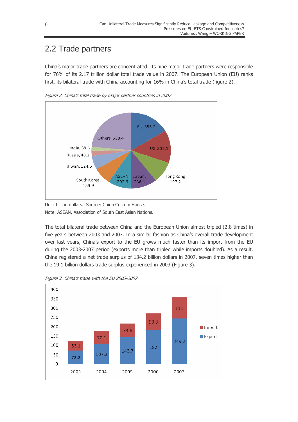## 2.2 Trade partners

China's major trade partners are concentrated. Its nine major trade partners were responsible for 76% of its 2.17 trillion dollar total trade value in 2007. The European Union (EU) ranks first, its bilateral trade with China accounting for 16% in China's total trade (figure 2).



Figure 2. China's total trade by major partner countries in 2007

Unit: billion dollars. Source: China Custom House. Note: ASEAN, Association of South East Asian Nations.

The total bilateral trade between China and the European Union almost tripled (2.8 times) in five years between 2003 and 2007. In a similar fashion as China's overall trade development over last years, China's export to the EU grows much faster than its import from the EU during the 2003-2007 period (exports more than tripled while imports doubled). As a result, China registered a net trade surplus of 134.2 billion dollars in 2007, seven times higher than the 19.1 billion dollars trade surplus experienced in 2003 (Figure 3).

Figure 3. China's trade with the EU 2003-2007

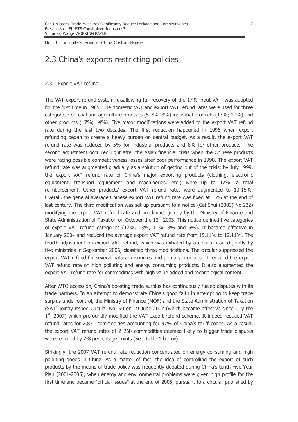Unit: billion dollars, Source: China Custom House

### 2.3 China's exports restricting policies

#### 2.3.1 Export VAT refund

The VAT export refund system, disallowing full recovery of the 17% input VAT, was adopted for the first time in 1985. The domestic VAT and export VAT refund rates were used for three categories: on coal and agriculture products (5-7%; 3%) industrial products (13%; 10%) and other products (17%; 14%). Five major modifications were added to the export VAT refund rate during the last two decades. The first reduction happened in 1996 when export refunding began to create a heavy burden on central budget. As a result, the export VAT refund rate was reduced by 5% for industrial products and 8% for other products. The second adjustment occurred right after the Asian financial crisis when the Chinese products were facing possible competitiveness losses after poor performance in 1998. The export VAT refund rate was augmented gradually as a solution of getting out of the crisis: by July 1999, the export VAT refund rate of China's major exporting products (clothing, electronic equipment, transport equipment and machineries, etc.) were up to 17%, a total reimbursement. Other products' export VAT refund rates were augmented to 13-15%. Overall, the general average Chinese export VAT refund rate was fixed at 15% at the end of last century. The third modification was set up pursuant to a notice (Cai Shui (2003) No.222) modifying the export VAT refund rate and proclaimed jointly by the Ministry of Finance and State Administration of Taxation on October the 13<sup>th</sup> 2003. This notice defined five categories of export VAT refund categories (17%, 13%, 11%, 8% and 5%). It became effective in January 2004 and reduced the average export VAT refund rate from 15.11% to 12.11%. The fourth adjustment on export VAT refund, which was initiated by a circular issued jointly by five ministries in September 2006, classified three modifications. The circular suppressed the export VAT refund for several natural resources and primary products. It reduced the export VAT refund rate on high polluting and energy consuming products. It also augmented the export VAT refund rate for commodities with high value added and technological content.

After WTO accession, China's boosting trade surplus has continuously fueled disputes with its trade partners. In an attempt to demonstrate China's good faith in attempting to keep trade surplus under control, the Ministry of Finance (MOF) and the State Administration of Taxation (SAT) jointly issued Circular No. 90 on 19 June 2007 (which became effective since July the 1st, 2007) which profoundly modified the VAT export refund scheme. It indeed reduced VAT refund rates for 2,831 commodities accounting for 37% of China's tariff codes. As a result, the export VAT refund rates of 2 268 commodities deemed likely to trigger trade disputes were reduced by 2-8 percentage points (See Table 1 below).

Strikingly, the 2007 VAT refund rate reduction concentrated on energy consuming and high polluting goods in China. As a matter of fact, the idea of controlling the export of such products by the means of trade policy was frequently debated during China's tenth Five Year Plan (2001-2005), when energy and environmental problems were given high profile for the first time and became "official issues" at the end of 2005, pursuant to a circular published by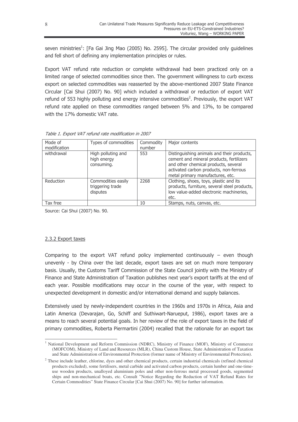seven ministries<sup>1</sup>: [Fa Gai Jing Mao (2005) No. 2595]. The circular provided only guidelines and fell short of defining any implementation principles or rules.

Export VAT refund rate reduction or complete withdrawal had been practiced only on a limited range of selected commodities since then. The government willingness to curb excess export on selected commodities was reasserted by the above-mentioned 2007 State Finance Circular [Cai Shui (2007) No. 90] which included a withdrawal or reduction of export VAT refund of 553 highly polluting and energy intensive commodities<sup>2</sup>. Previously, the export VAT refund rate applied on these commodities ranged between 5% and 13%, to be compared with the 17% domestic VAT rate.

| Mode of<br>modification | Types of commodities                               | Commodity<br>number | Major contents                                                                                                                                                                                               |  |  |
|-------------------------|----------------------------------------------------|---------------------|--------------------------------------------------------------------------------------------------------------------------------------------------------------------------------------------------------------|--|--|
| withdrawal              | High polluting and<br>high energy<br>consuming.    | 553                 | Distinguishing animals and their products,<br>cement and mineral products, fertilizers<br>and other chemical products, several<br>activated carbon products, non-ferrous<br>metal primary manufactures, etc. |  |  |
| Reduction               | Commodities easily<br>triggering trade<br>disputes | 2268                | Clothing, shoes, toys, plastic and its<br>products, furniture, several steel products,<br>low value-added electronic machineries,<br>etc.                                                                    |  |  |
| Tax free                |                                                    | 10                  | Stamps, nuts, canvas, etc.                                                                                                                                                                                   |  |  |

Table 1. Export VAT refund rate modification in 2007

Source: Cai Shui (2007) No. 90.

#### 2.3.2 Export taxes

Comparing to the export VAT refund policy implemented continuously  $-$  even though unevenly - by China over the last decade, export taxes are set on much more temporary basis. Usually, the Customs Tariff Commission of the State Council jointly with the Ministry of Finance and State Administration of Taxation publishes next year's export tariffs at the end of each year. Possible modifications may occur in the course of the year, with respect to unexpected development in domestic and/or international demand and supply balances.

Extensively used by newly-independent countries in the 1960s and 1970s in Africa, Asia and Latin America (Devarajan, Go, Schiff and Suthiwart-Narueput, 1986), export taxes are a means to reach several potential goals. In her review of the role of export taxes in the field of primary commodities, Roberta Piermartini (2004) recalled that the rationale for an export tax

<sup>&</sup>lt;sup>1</sup> National Development and Reform Commission (NDRC), Ministry of Finance (MOF), Ministry of Commerce (MOFCOM), Ministry of Land and Resources (MLR), China Custom House, State Administration of Taxation and State Administration of Environmental Protection (former name of Ministry of Environmental Protection).

<sup>&</sup>lt;sup>2</sup> These include leather, chlorine, dyes and other chemical products, certain industrial chemicals (refined chemical products excluded), some fertilisers, metal carbide and activated carbon products, certain lumber and one-timeuse wooden products, unalloyed aluminium poles and other non-ferrous metal processed goods, segmented ships and non-mechanical boats, etc. Consult "Notice Regarding the Reduction of VAT Refund Rates for Certain Commodities" State Finance Circular [Cai Shui (2007) No. 90] for further information.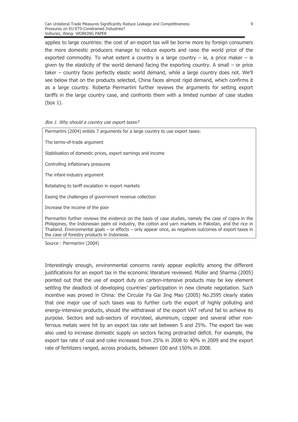applies to large countries: the cost of an export tax will be borne more by foreign consumers the more domestic producers manage to reduce exports and raise the world price of the exported commodity. To what extent a country is a large country  $-$  ie, a price maker  $-$  is given by the elasticity of the world demand facing the exporting country. A small – or price taker - country faces perfectly elastic world demand, while a large country does not. We'll see below that on the products selected, China faces almost rigid demand, which confirms it as a large country. Roberta Piermartini further reviews the arguments for setting export tariffs in the large country case, and confronts them with a limited number of case studies  $(box 1)$ .

#### Box 1. Why should a country use export taxes?

| Piermartini (2004) enlists 7 arguments for a large country to use export taxes:                                                                                                                                                                                                                                                                                            |  |  |  |  |  |
|----------------------------------------------------------------------------------------------------------------------------------------------------------------------------------------------------------------------------------------------------------------------------------------------------------------------------------------------------------------------------|--|--|--|--|--|
| The terms-of-trade argument                                                                                                                                                                                                                                                                                                                                                |  |  |  |  |  |
| Stabilisation of domestic prices, export earnings and income                                                                                                                                                                                                                                                                                                               |  |  |  |  |  |
| Controlling inflationary pressures                                                                                                                                                                                                                                                                                                                                         |  |  |  |  |  |
| The infant-industry argument                                                                                                                                                                                                                                                                                                                                               |  |  |  |  |  |
| Retaliating to tariff escalation in export markets                                                                                                                                                                                                                                                                                                                         |  |  |  |  |  |
| Easing the challenges of government revenue collection                                                                                                                                                                                                                                                                                                                     |  |  |  |  |  |
| Increase the income of the poor                                                                                                                                                                                                                                                                                                                                            |  |  |  |  |  |
| Piermartini further reviews the evidence on the basis of case studies, namely the case of copra in the<br>Philippines, the Indonesian palm oil industry, the cotton and yarn markets in Pakistan, and the rice in<br>Thailand. Environmental goals - or effects - only appear once, as negatives outcomes of export taxes in<br>the case of forestry products in Indonesia |  |  |  |  |  |

Source: Piermartini (2004)

Interestingly enough, environmental concerns rarely appear explicitly among the different justifications for an export tax in the economic literature reviewed. Müller and Sharma (2005) pointed out that the use of export duty on carbon-intensive products may be key element settling the deadlock of developing countries' participation in new climate negotiation. Such incentive was proved in China: the Circular Fa Gai Jing Mao (2005) No.2595 clearly states that one major use of such taxes was to further curb the export of highly polluting and energy-intensive products, should the withdrawal of the export VAT refund fail to achieve its purpose. Sectors and sub-sectors of iron/steel, aluminium, copper and several other nonferrous metals were hit by an export tax rate set between 5 and 25%. The export tax was also used to increase domestic supply on sectors facing protracted deficit. For example, the export tax rate of coal and coke increased from 25% in 2008 to 40% in 2009 and the export rate of fertilizers ranged, across products, between 100 and 150% in 2008.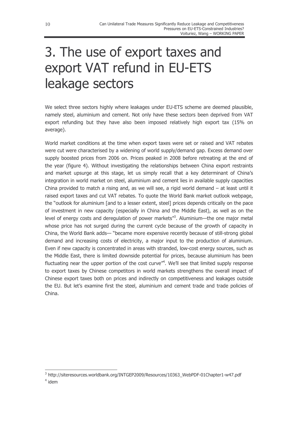# 3. The use of export taxes and export VAT refund in EU-ETS leakage sectors

We select three sectors highly where leakages under EU-ETS scheme are deemed plausible, namely steel, aluminium and cement. Not only have these sectors been deprived from VAT export refunding but they have also been imposed relatively high export tax (15% on average).

World market conditions at the time when export taxes were set or raised and VAT rebates were cut were characterised by a widening of world supply/demand gap. Excess demand over supply boosted prices from 2006 on. Prices peaked in 2008 before retreating at the end of the year (figure 4). Without investigating the relationships between China export restraints and market upsurge at this stage, let us simply recall that a key determinant of China's integration in world market on steel, aluminium and cement lies in available supply capacities China provided to match a rising and, as we will see, a rigid world demand - at least until it raised export taxes and cut VAT rebates. To quote the World Bank market outlook webpage, the "outlook for aluminium [and to a lesser extent, steel] prices depends critically on the pace of investment in new capacity (especially in China and the Middle East), as well as on the level of energy costs and deregulation of power markets"<sup>3</sup>. Aluminium—the one major metal whose price has not surged during the current cycle because of the growth of capacity in China, the World Bank adds— "became more expensive recently because of still-strong global demand and increasing costs of electricity, a major input to the production of aluminium. Even if new capacity is concentrated in areas with stranded, low-cost energy sources, such as the Middle East, there is limited downside potential for prices, because aluminium has been fluctuating near the upper portion of the cost curve"<sup>4</sup>. We'll see that limited supply response to export taxes by Chinese competitors in world markets strengthens the overall impact of Chinese export taxes both on prices and indirectly on competitiveness and leakages outside the EU. But let's examine first the steel, aluminium and cement trade and trade policies of China.

<sup>&</sup>lt;sup>3</sup> http://siteresources.worldbank.org/INTGEP2009/Resources/10363\_WebPDF-01Chapter1-w47.pdf

 $4$  idem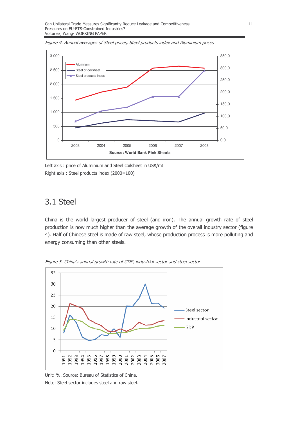

Figure 4. Annual averages of Steel prices, Steel products index and Aluminium prices

Left axis: price of Aluminium and Steel coilsheet in US\$/mt Right axis: Steel products index (2000=100)

### 3.1 Steel

China is the world largest producer of steel (and iron). The annual growth rate of steel production is now much higher than the average growth of the overall industry sector (figure 4). Half of Chinese steel is made of raw steel, whose production process is more polluting and energy consuming than other steels.



Figure 5. China's annual growth rate of GDP, industrial sector and steel sector

Unit: %. Source: Bureau of Statistics of China. Note: Steel sector includes steel and raw steel.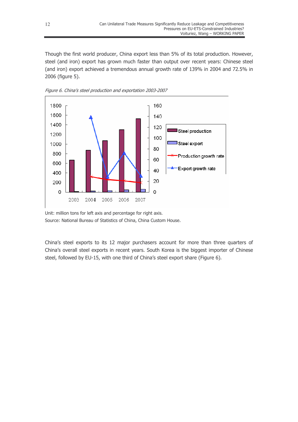Though the first world producer, China export less than 5% of its total production. However, steel (and iron) export has grown much faster than output over recent years: Chinese steel (and iron) export achieved a tremendous annual growth rate of 139% in 2004 and 72.5% in 2006 (figure 5).



Figure 6. China's steel production and exportation 2003-2007

Unit: million tons for left axis and percentage for right axis. Source: National Bureau of Statistics of China, China Custom House.

China's steel exports to its 12 major purchasers account for more than three quarters of China's overall steel exports in recent years. South Korea is the biggest importer of Chinese steel, followed by EU-15, with one third of China's steel export share (Figure 6).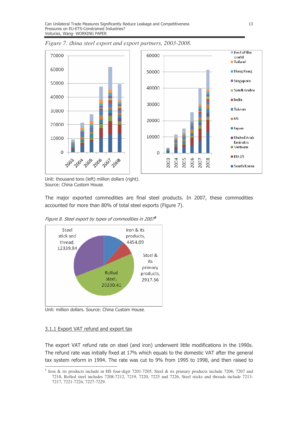

Figure 7. China steel export and export partners, 2003-2008.

Unit: thousand tons (left) million dollars (right). Source: China Custom House.

The major exported commodities are final steel products. In 2007, these commodities accounted for more than 80% of total steel exports (Figure 7).





Unit: million dollars. Source: China Custom House.

#### 3.1.1 Export VAT refund and export tax

The export VAT refund rate on steel (and iron) underwent little modifications in the 1990s. The refund rate was initially fixed at 17% which equals to the domestic VAT after the general tax system reform in 1994. The rate was cut to 9% from 1995 to 1998, and then raised to

<sup>&</sup>lt;sup>5</sup> Iron & its products include in HS four-digit 7201-7205. Steel & its primary products include 7206, 7207 and 7218, Rolled steel includes 7208-7212, 7219, 7220, 7225 and 7226, Steel sticks and threads include 7213-7217, 7221-7224, 7227-7229.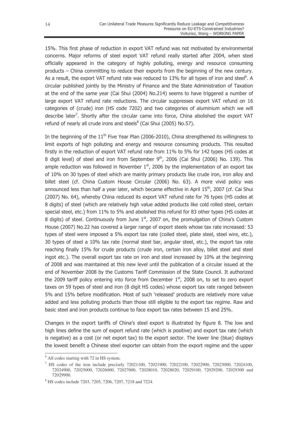15%. This first phase of reduction in export VAT refund was not motivated by environmental concerns. Major reforms of steel export VAT refund really started after 2004, when steel officially appeared in the category of highly polluting, energy and resource consuming products  $-$  China committing to reduce their exports from the beginning of the new century. As a result, the export VAT refund rate was reduced to 13% for all types of iron and steel<sup>6</sup>. A circular published jointly by the Ministry of Finance and the State Administration of Taxation at the end of the same year (Cai Shui (2004) No.214) seems to have triggered a number of large export VAT refund rate reductions. The circular suppresses export VAT refund on 16 categories of (crude) iron (HS code 7202) and two categories of aluminium which we will describe later<sup>7</sup>. Shortly after the circular came into force, China abolished the export VAT refund of nearly all crude irons and steels<sup>8</sup> (Cai Shui (2005) No.57).

In the beginning of the  $11<sup>th</sup>$  Five Year Plan (2006-2010), China strengthened its willingness to limit exports of high polluting and energy and resource consuming products. This resulted firstly in the reduction of export VAT refund rate from 11% to 5% for 142 types (HS codes at 8 digit level) of steel and iron from September 9<sup>th</sup>, 2006 (Cai Shui (2006) No. 139). This ample reduction was followed in November  $1<sup>st</sup>$ , 2006 by the implementation of an export tax of 10% on 30 types of steel which are mainly primary products like crude iron, iron alloy and billet steel (cf. China Custom House Circular (2006) No. 63). A more vivid policy was announced less than half a year later, which became effective in April 15<sup>th</sup>, 2007 (cf. Cai Shui (2007) No. 64), whereby China reduced its export VAT refund rate for 76 types (HS codes at 8 digits) of steel (which are relatively high value added products like cold rolled steel, certain special steel, etc.) from 11% to 5% and abolished this refund for 83 other types (HS codes at 8 digits) of steel. Continuously from June  $1<sup>st</sup>$ , 2007 on, the promulgation of China's Custom House (2007) No.22 has covered a larger range of export steels whose tax rate increased: 53 types of steel were imposed a 5% export tax rate (coiled steel, plate steel, steel wire, etc.), 30 types of steel a 10% tax rate (normal steel bar, angular steel, etc.), the export tax rate reaching finally 15% for crude products (crude iron, certain iron alloy, billet steel and steel ingot etc.). The overall export tax rate on iron and steel increased by 10% at the beginning of 2008 and was maintained at this new level until the publication of a circular issued at the end of November 2008 by the Customs Tariff Commission of the State Council. It authorized the 2009 tariff policy entering into force from December  $1<sup>st</sup>$ , 2008 on, to set to zero export taxes on 59 types of steel and iron (8 digit HS codes) whose export tax rate ranged between 5% and 15% before modification. Most of such 'released' products are relatively more value added and less polluting products than those still eligible to the export tax regime. Raw and basic steel and iron products continue to face export tax rates between 15 and 25%.

Changes in the export tariffs of China's steel export is illustrated by figure 8. The low and high lines define the sum of export refund rate (which is positive) and export tax rate (which is negative) as a cost (or net export tax) to the export sector. The lower line (blue) displays the lowest benefit a Chinese steel exporter can obtain from the export regime and the upper

<sup>6</sup> All codes starting with 72 in HS system.

<sup>7</sup> HS codes of the iron include precisely 72021100, 72021900, 72022100, 72022900, 72023000, 72024100, 72024900, 72025000, 72026000, 72027000, 72028010, 72028020, 72029100, 72029200, 72029300 and 72029900.

<sup>8</sup> HS codes include 7203, 7205, 7206, 7207, 7218 and 7224.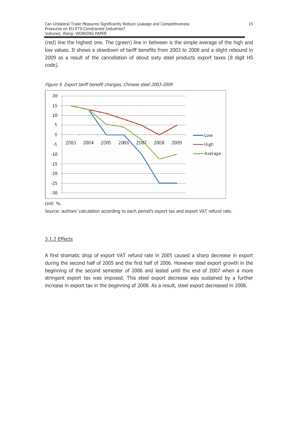(red) line the highest one. The (green) line in between is the simple average of the high and low values. It shows a slowdown of tariff benefits from 2003 to 2008 and a slight rebound in 2009 as a result of the cancellation of about sixty steel products export taxes (8 digit HS code).





Unit: %.

Source: authors' calculation according to each period's export tax and export VAT refund rate.

#### 3.1.2 Effects

A first dramatic drop of export VAT refund rate in 2005 caused a sharp decrease in export during the second half of 2005 and the first half of 2006. However steel export growth in the beginning of the second semester of 2006 and lasted until the end of 2007 when a more stringent export tax was imposed. This steel export decrease was sustained by a further increase in export tax in the beginning of 2008. As a result, steel export decreased in 2008.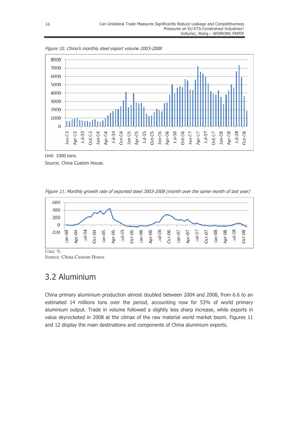

Figure 10. China's monthly steel export volume 2003-2008

Unit: 1000 tons. Source: China Custom House.

Figure 11. Monthly growth rate of exported steel 2003-2008 (month over the same month of last year)



Unit: %. Source: China Custom House

## 3.2 Aluminium

China primary aluminium production almost doubled between 2004 and 2008, from 6.6 to an estimated 14 millions tons over the period, accounting now for 53% of world primary aluminium output. Trade in volume followed a slightly less sharp increase, while exports in value skyrocketed in 2008 at the climax of the raw material world market boom. Figures 11 and 12 display the main destinations and components of China aluminium exports.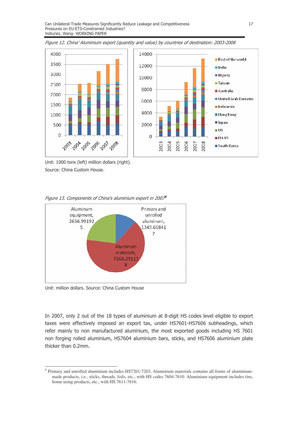

Figure 12. China' Aluminium export (quantity and value) by countries of destination: 2003-2008

Unit: 1000 tons (left) million dollars (right). Source: China Custom House.





Unit: million dollars. Source: China Custom House

In 2007, only 2 out of the 18 types of aluminium at 8-digit HS codes level eligible to export taxes were effectively imposed an export tax, under HS7601-HS7606 subheadings, which refer mainly to non manufactured aluminium, the most exported goods including HS 7601 non forging rolled aluminium, HS7604 aluminium bars, sticks, and HS7606 aluminium plate thicker than 0.2mm.

<sup>&</sup>lt;sup>9</sup> Primary and unrolled aluminium includes HS7201-7203, Aluminium materials contains all forms of aluminiummade products, i.e., sticks, threads, foils, etc., with HS codes 7604-7610. Aluminium equipment includes tins, home using products, etc., with HS 7611-7616.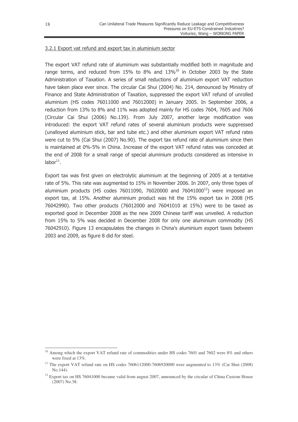#### 3.2.1 Export vat refund and export tax in aluminium sector

The export VAT refund rate of aluminium was substantially modified both in magnitude and range terms, and reduced from 15% to 8% and  $13\%$ <sup>10</sup> in October 2003 by the State Administration of Taxation. A series of small reductions of aluminium export VAT reduction have taken place ever since. The circular Cai Shui (2004) No. 214, denounced by Ministry of Finance and State Administration of Taxation, suppressed the export VAT refund of unrolled aluminium (HS codes 76011000 and 76012000) in January 2005. In September 2006, a reduction from 13% to 8% and 11% was adopted mainly for HS codes 7604, 7605 and 7606 (Circular Cai Shui (2006) No.139). From July 2007, another large modification was introduced: the export VAT refund rates of several aluminium products were suppressed (unalloyed aluminium stick, bar and tube etc.) and other aluminium export VAT refund rates were cut to 5% (Cai Shui (2007) No.90). The export tax refund rate of aluminium since then is maintained at 0%-5% in China. Increase of the export VAT refund rates was conceded at the end of 2008 for a small range of special aluminium products considered as intensive in  $labor<sup>11</sup>$ .

Export tax was first given on electrolytic aluminium at the beginning of 2005 at a tentative rate of 5%. This rate was augmented to 15% in November 2006. In 2007, only three types of aluminium products (HS codes 76011090, 76020000 and 76041000 $^{12}$ ) were imposed an export tax, at 15%. Another aluminium product was hit the 15% export tax in 2008 (HS 76042990). Two other products (76012000 and 76041010 at 15%) were to be taxed as exported good in December 2008 as the new 2009 Chinese tariff was unveiled. A reduction from 15% to 5% was decided in December 2008 for only one aluminium commodity (HS 76042910). Figure 13 encapsulates the changes in China's aluminium export taxes between  $2003$  and  $2009$ , as figure 8 did for steel.

<sup>&</sup>lt;sup>10</sup> Among which the export VAT refund rate of commodities under HS codes 7601 and 7602 were 8% and others were fixed at 13%.

<sup>&</sup>lt;sup>11</sup> The export VAT refund rate on HS codes 7606112000-7606920000 were augmented to 13% (Cai Shui (2008) No.144).

 $12$  Export tax on HS 76041000 became valid from august 2007, announced by the circular of China Custom House (2007) No.38.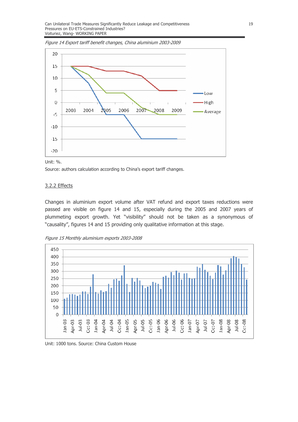Figure 14 Export tariff benefit changes, China aluminium 2003-2009





Source: authors calculation according to China's export tariff changes.

#### 3.2.2 Effects

Changes in aluminium export volume after VAT refund and export taxes reductions were passed are visible on figure 14 and 15, especially during the 2005 and 2007 years of plummeting export growth. Yet "visibility" should not be taken as a synonymous of "causality", figures 14 and 15 providing only qualitative information at this stage.

Figure 15 Monthly aluminium exports 2003-2008



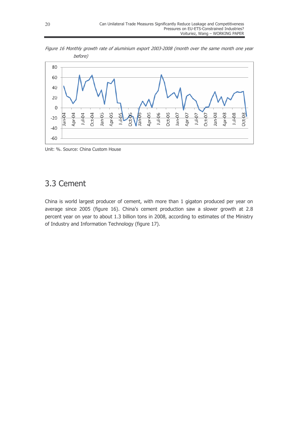Figure 16 Monthly growth rate of aluminium export 2003-2008 (month over the same month one year before)



Unit: %. Source: China Custom House

### 3.3 Cement

China is world largest producer of cement, with more than 1 gigaton produced per year on average since 2005 (figure 16). China's cement production saw a slower growth at 2.8 percent year on year to about 1.3 billion tons in 2008, according to estimates of the Ministry of Industry and Information Technology (figure 17).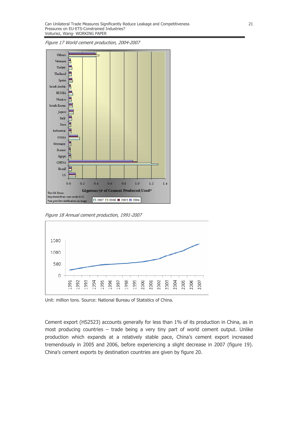Figure 17 World cement production, 2004-2007



Figure 18 Annual cement production, 1991-2007



Unit: million tons, Source: National Bureau of Statistics of China.

Cement export (HS2523) accounts generally for less than 1% of its production in China, as in most producing countries - trade being a very tiny part of world cement output. Unlike production which expands at a relatively stable pace, China's cement export increased tremendously in 2005 and 2006, before experiencing a slight decrease in 2007 (figure 19). China's cement exports by destination countries are given by figure 20.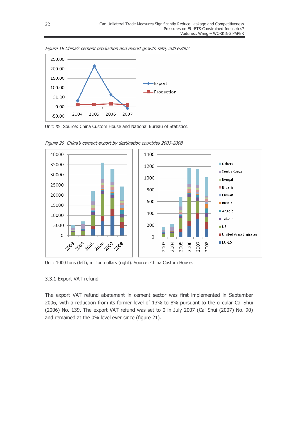

Figure 19 China's cement production and export growth rate, 2003-2007





Figure 20 China's cement export by destination countries 2003-2008.

Unit: 1000 tons (left), million dollars (right). Source: China Custom House.

#### 3.3.1 Export VAT refund

The export VAT refund abatement in cement sector was first implemented in September 2006, with a reduction from its former level of 13% to 8% pursuant to the circular Cai Shui (2006) No. 139. The export VAT refund was set to 0 in July 2007 (Cai Shui (2007) No. 90) and remained at the 0% level ever since (figure 21).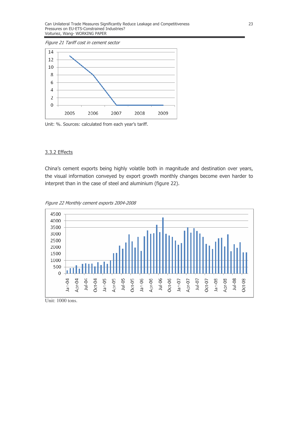Figure 21 Tariff cost in cement sector



Unit: %. Sources: calculated from each year's tariff.

#### 3.3.2 Effects

China's cement exports being highly volatile both in magnitude and destination over years, the visual information conveyed by export growth monthly changes become even harder to interpret than in the case of steel and aluminium (figure 22).



Figure 22 Monthly cement exports 2004-2008

Unit: 1000 tons.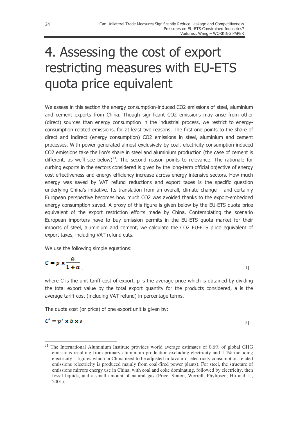# 4. Assessing the cost of export restricting measures with EU-ETS quota price equivalent

We assess in this section the energy consumption-induced CO2 emissions of steel, aluminium and cement exports from China. Though significant CO2 emissions may arise from other (direct) sources than energy consumption in the industrial process, we restrict to energyconsumption related emissions, for at least two reasons. The first one points to the share of direct and indirect (energy consumption) CO2 emissions in steel, aluminium and cement processes. With power generated almost exclusively by coal, electricity consumption-induced CO2 emissions take the lion's share in steel and aluminium production (the case of cement is different, as we'll see below)<sup>13</sup>. The second reason points to relevance. The rationale for curbing exports in the sectors considered is given by the long-term official objective of energy cost effectiveness and energy efficiency increase across energy intensive sectors. How much energy was saved by VAT refund reductions and export taxes is the specific question underlying China's initiative. Its translation from an overall, climate change  $-$  and certainly European perspective becomes how much CO2 was avoided thanks to the export-embedded energy consumption saved. A proxy of this figure is given below by the EU-ETS quota price equivalent of the export restriction efforts made by China. Contemplating the scenario European importers have to buy emission permits in the EU-ETS quota market for their imports of steel, aluminium and cement, we calculate the CO2 EU-ETS price equivalent of export taxes, including VAT refund cuts.

We use the following simple equations:

$$
C = p \times \frac{a}{1+a} \tag{1}
$$

where C is the unit tariff cost of export,  $p$  is the average price which is obtained by dividing the total export value by the total export quantity for the products considered, a is the average tariff cost (including VAT refund) in percentage terms.

The quota cost (or price) of one export unit is given by:

,  $[2]$ 

 $<sup>13</sup>$  The International Aluminium Institute provides world average estimates of 0.6% of global GHG</sup> emissions resulting from primary aluminium production excluding electricity and 1.4% including electricity – figures which in China need to be adjusted in favour of electricity consumption-related emissions (electricity is produced mainly from coal-fired power plants). For steel, the structure of emissions mirrors energy use in China, with coal and coke dominating, followed by electricity, then fossil liquids, and a small amount of natural gas (Price, Sinton, Worrell, Phylipsen, Hu and Li, 2001).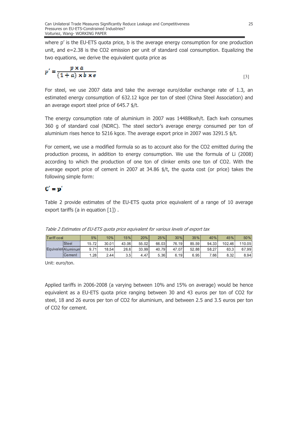where p' is the EU-ETS quota price, b is the average energy consumption for one production unit, and e=2.38 is the CO2 emission per unit of standard coal consumption. Equalizing the two equations, we derive the equivalent quota price as

$$
p' = \frac{p \times a}{(1+a) \times b \times e}
$$

 $\lceil 3 \rceil$ 

For steel, we use 2007 data and take the average euro/dollar exchange rate of 1.3, an estimated energy consumption of 632.12 kgce per ton of steel (China Steel Association) and an average export steel price of 645.7 \$/t.

The energy consumption rate of aluminium in 2007 was 14488kwh/t. Each kwh consumes 360 g of standard coal (NDRC). The steel sector's average energy consumed per ton of aluminium rises hence to 5216 kgce. The average export price in 2007 was 3291.5 \$/t.

For cement, we use a modified formula so as to account also for the CO2 emitted during the production process, in addition to energy consumption. We use the formula of Li (2008) according to which the production of one ton of clinker emits one ton of CO2. With the average export price of cement in 2007 at 34.86  $\frac{4}{5}$ /t, the quota cost (or price) takes the following simple form:

### $C' = p'$

Table 2 provide estimates of the EU-ETS quota price equivalent of a range of 10 average export tariffs (a in equation  $[1]$ ).

| <b>Tariff cost</b> |                    | 5%    | 10%   | 15%   | 20%   | 25%   | 30%   | 35%   | 40%   | 45%    | 50%    |
|--------------------|--------------------|-------|-------|-------|-------|-------|-------|-------|-------|--------|--------|
|                    | <b>Steel</b>       | 15.72 | 30.01 | 43.06 | 55.02 | 66.03 | 76.19 | 85.59 | 94.33 | 102.46 | 110.05 |
|                    | Equivalen Aluminum | 9.71  | 18.54 | 26.6  | 33.99 | 40.79 | 47.07 | 52.88 | 58,27 | 63.3   | 67.99  |
|                    | <b>ICement</b>     | .281  | 2.44  | 3.5 I | 4.47  | 5.36  | 6.19  | 6.95  | 7.661 | 8.32   | 8.94   |

Table 2 Estimates of EU-ETS quota price equivalent for various levels of export tax

Unit: euro/ton.

Applied tariffs in 2006-2008 (a varying between 10% and 15% on average) would be hence equivalent as a EU-ETS quota price ranging between 30 and 43 euros per ton of CO2 for steel, 18 and 26 euros per ton of CO2 for aluminium, and between 2.5 and 3.5 euros per ton of CO2 for cement.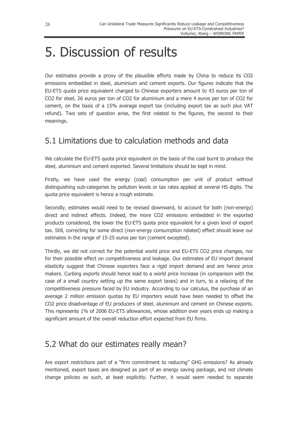## 5. Discussion of results

Our estimates provide a proxy of the plausible efforts made by China to reduce its CO2 emissions embedded in steel, aluminium and cement exports. Our figures indicate that the EU-ETS quota price equivalent charged to Chinese exporters amount to 43 euros per ton of CO2 for steel, 26 euros per ton of CO2 for aluminium and a mere 4 euros per ton of CO2 for cement, on the basis of a 15% average export tax (including export tax as such plus VAT refund). Two sets of question arise, the first related to the figures, the second to their meanings.

## 5.1 Limitations due to calculation methods and data

We calculate the EU-ETS quota price equivalent on the basis of the coal burnt to produce the steel, aluminium and cement exported. Several limitations should be kept in mind.

Firstly, we have used the energy (coal) consumption per unit of product without distinguishing sub-categories by pollution levels or tax rates applied at several HS digits. The quota price equivalent is hence a rough estimate.

Secondly, estimates would need to be revised downward, to account for both (non-energy) direct and indirect effects. Indeed, the more CO2 emissions embedded in the exported products considered, the lower the EU-ETS quota price equivalent for a given level of export tax. Still, correcting for some direct (non-energy consumption related) effect should leave our estimates in the range of 15-25 euros per ton (cement excepted).

Thirdly, we did not correct for the potential world price and EU-ETS CO2 price changes, nor for their possible effect on competitiveness and leakage. Our estimates of EU import demand elasticity suggest that Chinese exporters face a rigid import demand and are hence price makers. Curbing exports should hence lead to a world price increase (in comparison with the case of a small country setting up the same export taxes) and in turn, to a relaxing of the competitiveness pressure faced by EU industry. According to our calculus, the purchase of an average 2 million emission quotas by EU importers would have been needed to offset the CO2 price disadvantage of EU producers of steel, aluminium and cement on Chinese exports. This represents 1% of 2006 EU-ETS allowances, whose addition over years ends up making a significant amount of the overall reduction effort expected from EU firms.

### 5.2 What do our estimates really mean?

Are export restrictions part of a "firm commitment to reducing" GHG emissions? As already mentioned, export taxes are designed as part of an energy saving package, and not climate change policies as such, at least explicitly. Further, it would seem needed to separate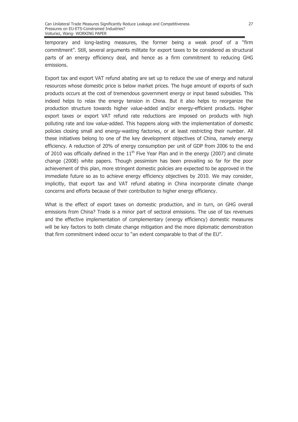temporary and long-lasting measures, the former being a weak proof of a "firm commitment". Still, several arguments militate for export taxes to be considered as structural parts of an energy efficiency deal, and hence as a firm commitment to reducing GHG emissions.

Export tax and export VAT refund abating are set up to reduce the use of energy and natural resources whose domestic price is below market prices. The huge amount of exports of such products occurs at the cost of tremendous government energy or input based subsidies. This indeed helps to relax the energy tension in China. But it also helps to reorganize the production structure towards higher value-added and/or energy-efficient products. Higher export taxes or export VAT refund rate reductions are imposed on products with high polluting rate and low value-added. This happens along with the implementation of domestic policies closing small and energy-wasting factories, or at least restricting their number. All these initiatives belong to one of the key development objectives of China, namely energy efficiency. A reduction of 20% of energy consumption per unit of GDP from 2006 to the end of 2010 was officially defined in the  $11<sup>th</sup>$  Five Year Plan and in the energy (2007) and climate change (2008) white papers. Though pessimism has been prevailing so far for the poor achievement of this plan, more stringent domestic policies are expected to be approved in the immediate future so as to achieve energy efficiency objectives by 2010. We may consider, implicitly, that export tax and VAT refund abating in China incorporate climate change concerns and efforts because of their contribution to higher energy efficiency.

What is the effect of export taxes on domestic production, and in turn, on GHG overall emissions from China? Trade is a minor part of sectoral emissions. The use of tax revenues and the effective implementation of complementary (energy efficiency) domestic measures will be key factors to both climate change mitigation and the more diplomatic demonstration that firm commitment indeed occur to "an extent comparable to that of the EU".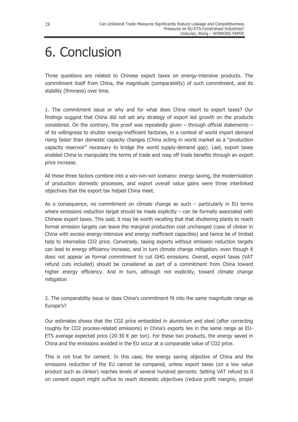## 6. Conclusion

Three questions are related to Chinese export taxes on energy-intensive products. The commitment itself from China, the magnitude (comparability) of such commitment, and its stability (firmness) over time.

1. The commitment issue or why and for what does China resort to export taxes? Our findings suggest that China did not set any strategy of export led growth on the products considered. On the contrary, the proof was repeatedly given  $-$  through official statements  $$ of its willingness to shutter energy-inefficient factories, in a context of world import demand rising faster than domestic capacity changes (China acting in world market as a "production capacity reservoir" necessary to bridge the world supply-demand gap). Last, export taxes enabled China to manipulate the terms of trade and reap off trade benefits through an export price increase.

All these three factors combine into a win-win-win scenario: energy saving, the modernization of production domestic processes, and export overall value gains were three interlinked objectives that the export tax helped China meet.

As a consequence, no commitment on climate change as such  $-$  particularly in EU terms where emissions reduction target should be made explicitly  $-$  can be formally associated with Chinese export taxes. This said, it may be worth recalling that that shuttering plants to reach formal emission targets can leave the marginal production cost unchanged (case of clinker in China with excess energy-intensive and energy inefficient capacities) and hence be of limited help to internalize CO2 price. Conversely, taxing exports without emission reduction targets can lead to energy efficiency increase, and in turn climate change mitigation, even though it does not appear as formal commitment to cut GHG emissions. Overall, export taxes (VAT refund cuts included) should be considered as part of a commitment from China toward higher energy efficiency. And in turn, although not explicitly, toward climate change mitigation

2. The comparability issue or does China's commitment fit into the same magnitude range as Europe's?

Our estimates shows that the CO2 price embedded in aluminium and steel (after correcting roughly for CO2 process-related emissions) in China's exports lies in the same range as EU-ETS average expected price (20-30  $\epsilon$  per ton). For these two products, the energy saved in China and the emissions avoided in the EU occur at a comparable value of CO2 price.

This is not true for cement. In this case, the energy saving objective of China and the emissions reduction of the EU cannot be compared, unless export taxes (on a low value product such as clinker) reaches levels of several hundred percents. Setting VAT refund to 0 on cement export might suffice to reach domestic objectives (reduce profit margins, propel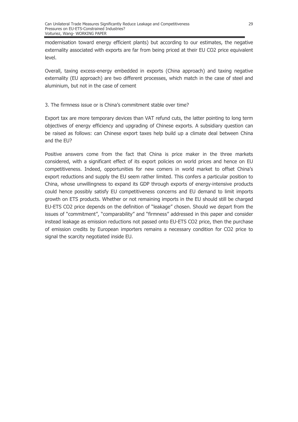modernisation toward energy efficient plants) but according to our estimates, the negative externality associated with exports are far from being priced at their EU CO2 price equivalent level.

Overall, taxing excess-energy embedded in exports (China approach) and taxing negative externality (EU approach) are two different processes, which match in the case of steel and aluminium, but not in the case of cement

#### 3. The firmness issue or is China's commitment stable over time?

Export tax are more temporary devices than VAT refund cuts, the latter pointing to long term objectives of energy efficiency and upgrading of Chinese exports. A subsidiary question can be raised as follows: can Chinese export taxes help build up a climate deal between China and the EU?

Positive answers come from the fact that China is price maker in the three markets considered, with a significant effect of its export policies on world prices and hence on EU competitiveness. Indeed, opportunities for new comers in world market to offset China's export reductions and supply the EU seem rather limited. This confers a particular position to China, whose unwillingness to expand its GDP through exports of energy-intensive products could hence possibly satisfy EU competitiveness concerns and EU demand to limit imports growth on ETS products. Whether or not remaining imports in the EU should still be charged EU-ETS CO2 price depends on the definition of "leakage" chosen. Should we depart from the issues of "commitment", "comparability" and "firmness" addressed in this paper and consider instead leakage as emission reductions not passed onto EU-ETS CO2 price, then the purchase of emission credits by European importers remains a necessary condition for CO2 price to signal the scarcity negotiated inside EU.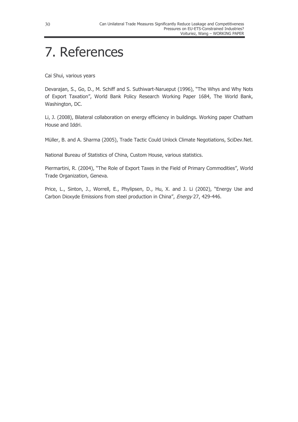## 7. References

Cai Shui, various years

Devarajan, S., Go, D., M. Schiff and S. Suthiwart-Narueput (1996), "The Whys and Why Nots of Export Taxation", World Bank Policy Research Working Paper 1684, The World Bank, Washington, DC.

Li, J. (2008), Bilateral collaboration on energy efficiency in buildings. Working paper Chatham House and Iddri.

Müller, B. and A. Sharma (2005), Trade Tactic Could Unlock Climate Negotiations, SciDev.Net.

National Bureau of Statistics of China, Custom House, various statistics.

Piermartini, R. (2004), "The Role of Export Taxes in the Field of Primary Commodities", World Trade Organization, Geneva.

Price, L., Sinton, J., Worrell, E., Phylipsen, D., Hu, X. and J. Li (2002), "Energy Use and Carbon Dioxyde Emissions from steel production in China", Energy 27, 429-446.